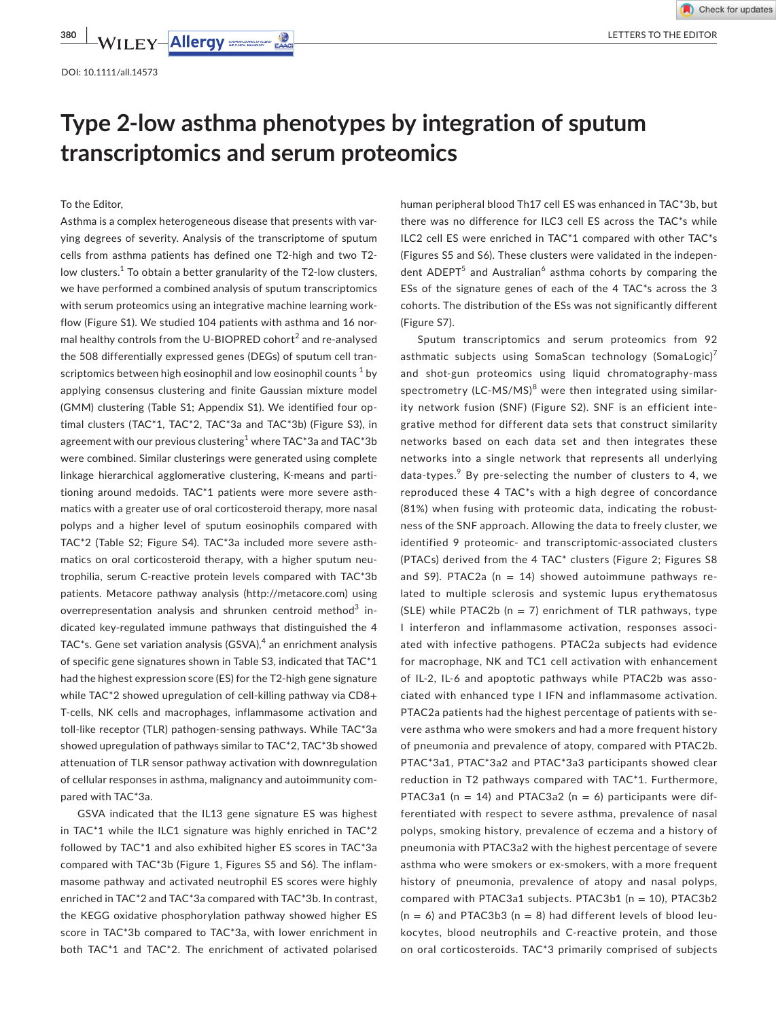# **Type 2-low asthma phenotypes by integration of sputum transcriptomics and serum proteomics**

To the Editor,

Asthma is a complex heterogeneous disease that presents with varying degrees of severity. Analysis of the transcriptome of sputum cells from asthma patients has defined one T2-high and two T2 low clusters. $1$  To obtain a better granularity of the T2-low clusters, we have performed a combined analysis of sputum transcriptomics with serum proteomics using an integrative machine learning workflow (Figure S1). We studied 104 patients with asthma and 16 normal healthy controls from the U-BIOPRED cohort<sup>2</sup> and re-analysed the 508 differentially expressed genes (DEGs) of sputum cell transcriptomics between high eosinophil and low eosinophil counts  $^1$  by applying consensus clustering and finite Gaussian mixture model (GMM) clustering (Table S1; Appendix S1). We identified four optimal clusters (TAC\*1, TAC\*2, TAC\*3a and TAC\*3b) (Figure S3), in agreement with our previous clustering $^1$  where TAC\*3a and TAC\*3b were combined. Similar clusterings were generated using complete linkage hierarchical agglomerative clustering, K-means and partitioning around medoids. TAC\*1 patients were more severe asthmatics with a greater use of oral corticosteroid therapy, more nasal polyps and a higher level of sputum eosinophils compared with TAC\*2 (Table S2; Figure S4). TAC\*3a included more severe asthmatics on oral corticosteroid therapy, with a higher sputum neutrophilia, serum C-reactive protein levels compared with TAC\*3b patients. Metacore pathway analysis [\(http://metacore.com\)](http://metacore.com) using overrepresentation analysis and shrunken centroid method<sup>3</sup> indicated key-regulated immune pathways that distinguished the 4 TAC $*$ s. Gene set variation analysis (GSVA), $^4$  an enrichment analysis of specific gene signatures shown in Table S3, indicated that TAC\*1 had the highest expression score (ES) for the T2-high gene signature while TAC\*2 showed upregulation of cell-killing pathway via CD8+ T-cells, NK cells and macrophages, inflammasome activation and toll-like receptor (TLR) pathogen-sensing pathways. While TAC\*3a showed upregulation of pathways similar to TAC\*2, TAC\*3b showed attenuation of TLR sensor pathway activation with downregulation of cellular responses in asthma, malignancy and autoimmunity compared with TAC\*3a.

GSVA indicated that the IL13 gene signature ES was highest in TAC\*1 while the ILC1 signature was highly enriched in TAC\*2 followed by TAC\*1 and also exhibited higher ES scores in TAC\*3a compared with TAC\*3b (Figure 1, Figures S5 and S6). The inflammasome pathway and activated neutrophil ES scores were highly enriched in TAC\*2 and TAC\*3a compared with TAC\*3b. In contrast, the KEGG oxidative phosphorylation pathway showed higher ES score in TAC\*3b compared to TAC\*3a, with lower enrichment in both TAC\*1 and TAC\*2. The enrichment of activated polarised

human peripheral blood Th17 cell ES was enhanced in TAC\*3b, but there was no difference for ILC3 cell ES across the TAC\*s while ILC2 cell ES were enriched in TAC\*1 compared with other TAC\*s (Figures S5 and S6). These clusters were validated in the independent ADEPT<sup>5</sup> and Australian<sup>6</sup> asthma cohorts by comparing the ESs of the signature genes of each of the 4 TAC\*s across the 3 cohorts. The distribution of the ESs was not significantly different (Figure S7).

Sputum transcriptomics and serum proteomics from 92 asthmatic subjects using SomaScan technology (SomaLogic)<sup>7</sup> and shot-gun proteomics using liquid chromatography-mass spectrometry (LC-MS/MS)<sup>8</sup> were then integrated using similarity network fusion (SNF) (Figure S2). SNF is an efficient integrative method for different data sets that construct similarity networks based on each data set and then integrates these networks into a single network that represents all underlying data-types.<sup>9</sup> By pre-selecting the number of clusters to 4, we reproduced these 4 TAC\*s with a high degree of concordance (81%) when fusing with proteomic data, indicating the robustness of the SNF approach. Allowing the data to freely cluster, we identified 9 proteomic- and transcriptomic-associated clusters (PTACs) derived from the 4 TAC\* clusters (Figure 2; Figures S8 and S9). PTAC2a ( $n = 14$ ) showed autoimmune pathways related to multiple sclerosis and systemic lupus erythematosus (SLE) while PTAC2b ( $n = 7$ ) enrichment of TLR pathways, type I interferon and inflammasome activation, responses associated with infective pathogens. PTAC2a subjects had evidence for macrophage, NK and TC1 cell activation with enhancement of IL-2, IL-6 and apoptotic pathways while PTAC2b was associated with enhanced type I IFN and inflammasome activation. PTAC2a patients had the highest percentage of patients with severe asthma who were smokers and had a more frequent history of pneumonia and prevalence of atopy, compared with PTAC2b. PTAC\*3a1, PTAC\*3a2 and PTAC\*3a3 participants showed clear reduction in T2 pathways compared with TAC\*1. Furthermore, PTAC3a1 ( $n = 14$ ) and PTAC3a2 ( $n = 6$ ) participants were differentiated with respect to severe asthma, prevalence of nasal polyps, smoking history, prevalence of eczema and a history of pneumonia with PTAC3a2 with the highest percentage of severe asthma who were smokers or ex-smokers, with a more frequent history of pneumonia, prevalence of atopy and nasal polyps, compared with PTAC3a1 subjects. PTAC3b1 (n = 10), PTAC3b2  $(n = 6)$  and PTAC3b3 (n = 8) had different levels of blood leukocytes, blood neutrophils and C-reactive protein, and those on oral corticosteroids. TAC\*3 primarily comprised of subjects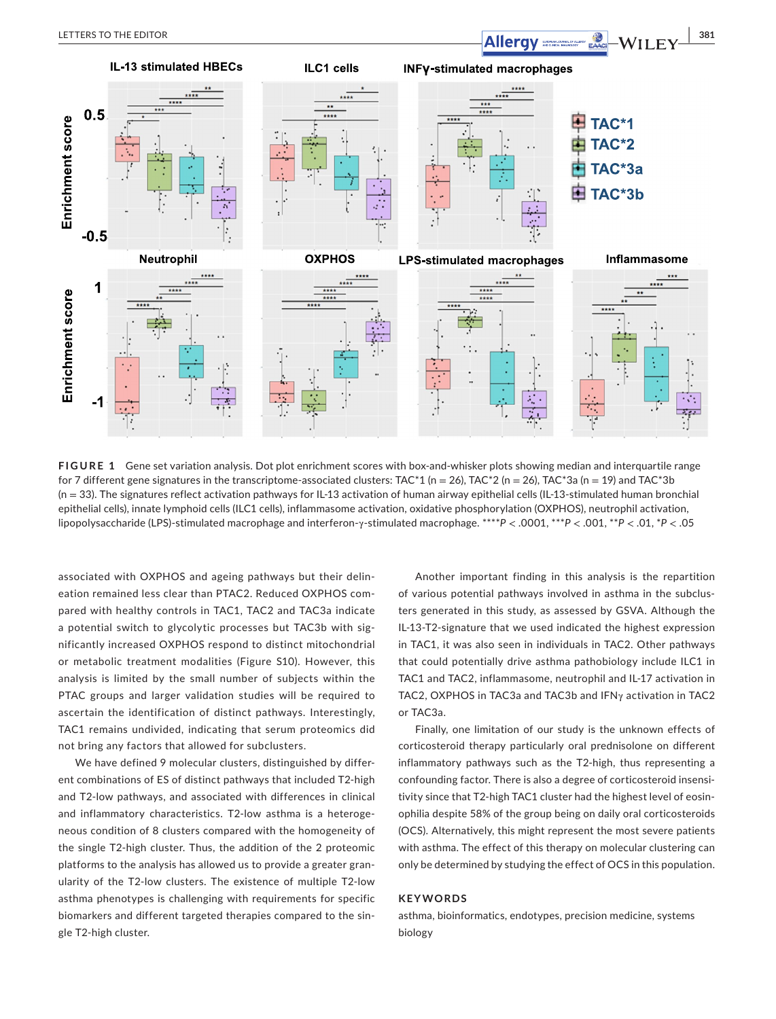

**FIGURE 1** Gene set variation analysis. Dot plot enrichment scores with box-and-whisker plots showing median and interquartile range for 7 different gene signatures in the transcriptome-associated clusters: TAC\*1 (n = 26), TAC\*2 (n = 26), TAC\*3a (n = 19) and TAC\*3b (n = 33). The signatures reflect activation pathways for IL-13 activation of human airway epithelial cells (IL-13-stimulated human bronchial epithelial cells), innate lymphoid cells (ILC1 cells), inflammasome activation, oxidative phosphorylation (OXPHOS), neutrophil activation, lipopolysaccharide (LPS)-stimulated macrophage and interferon-γ-stimulated macrophage. \*\*\*\**P* < .0001, \*\*\**P* < .001, \*\**P* < .01, \**P* < .05

associated with OXPHOS and ageing pathways but their delineation remained less clear than PTAC2. Reduced OXPHOS compared with healthy controls in TAC1, TAC2 and TAC3a indicate a potential switch to glycolytic processes but TAC3b with significantly increased OXPHOS respond to distinct mitochondrial or metabolic treatment modalities (Figure S10). However, this analysis is limited by the small number of subjects within the PTAC groups and larger validation studies will be required to ascertain the identification of distinct pathways. Interestingly, TAC1 remains undivided, indicating that serum proteomics did not bring any factors that allowed for subclusters.

We have defined 9 molecular clusters, distinguished by different combinations of ES of distinct pathways that included T2-high and T2-low pathways, and associated with differences in clinical and inflammatory characteristics. T2-low asthma is a heterogeneous condition of 8 clusters compared with the homogeneity of the single T2-high cluster. Thus, the addition of the 2 proteomic platforms to the analysis has allowed us to provide a greater granularity of the T2-low clusters. The existence of multiple T2-low asthma phenotypes is challenging with requirements for specific biomarkers and different targeted therapies compared to the single T2-high cluster.

Another important finding in this analysis is the repartition of various potential pathways involved in asthma in the subclusters generated in this study, as assessed by GSVA. Although the IL-13-T2-signature that we used indicated the highest expression in TAC1, it was also seen in individuals in TAC2. Other pathways that could potentially drive asthma pathobiology include ILC1 in TAC1 and TAC2, inflammasome, neutrophil and IL-17 activation in TAC2, OXPHOS in TAC3a and TAC3b and IFNγ activation in TAC2 or TAC3a.

Finally, one limitation of our study is the unknown effects of corticosteroid therapy particularly oral prednisolone on different inflammatory pathways such as the T2-high, thus representing a confounding factor. There is also a degree of corticosteroid insensitivity since that T2-high TAC1 cluster had the highest level of eosinophilia despite 58% of the group being on daily oral corticosteroids (OCS). Alternatively, this might represent the most severe patients with asthma. The effect of this therapy on molecular clustering can only be determined by studying the effect of OCS in this population.

### **KEYWORDS**

asthma, bioinformatics, endotypes, precision medicine, systems biology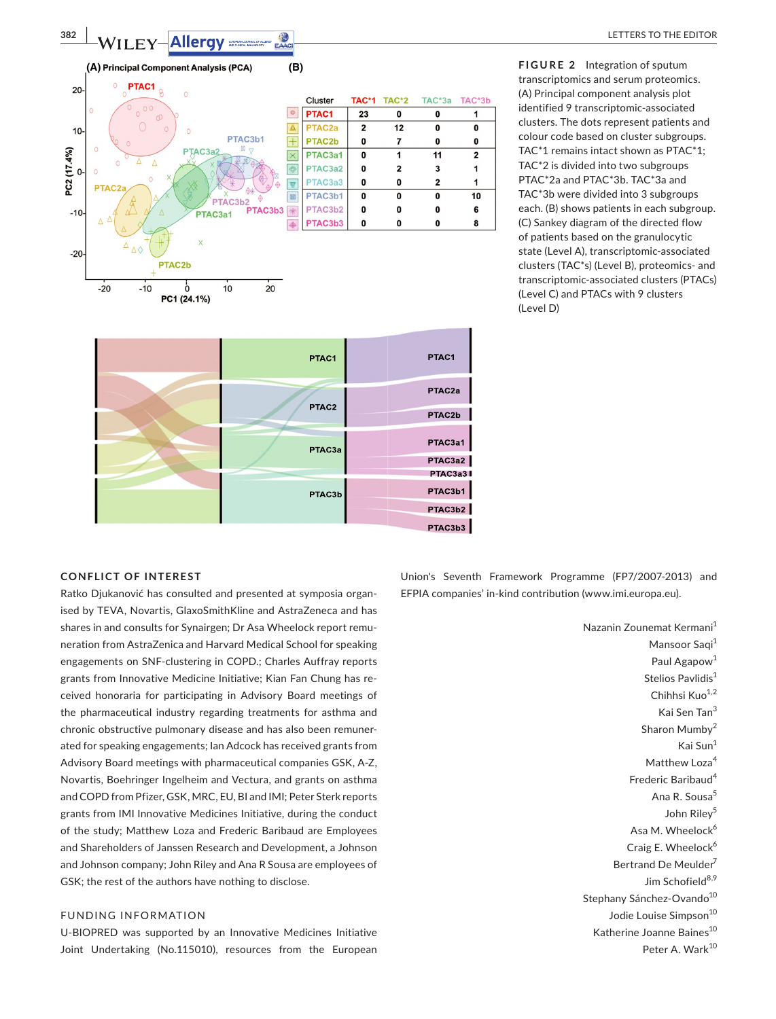

PTAC3a

PTAC3h

**FIGURE 2** Integration of sputum transcriptomics and serum proteomics. (A) Principal component analysis plot identified 9 transcriptomic-associated clusters. The dots represent patients and colour code based on cluster subgroups. TAC\*1 remains intact shown as PTAC\*1; TAC\*2 is divided into two subgroups PTAC\*2a and PTAC\*3b. TAC\*3a and TAC\*3b were divided into 3 subgroups each. (B) shows patients in each subgroup. (C) Sankey diagram of the directed flow of patients based on the granulocytic state (Level A), transcriptomic-associated clusters (TAC\*s) (Level B), proteomics- and transcriptomic-associated clusters (PTACs) (Level C) and PTACs with 9 clusters (Level D)

#### **CONFLICT OF INTEREST**

Ratko Djukanović has consulted and presented at symposia organised by TEVA, Novartis, GlaxoSmithKline and AstraZeneca and has shares in and consults for Synairgen; Dr Asa Wheelock report remuneration from AstraZenica and Harvard Medical School for speaking engagements on SNF-clustering in COPD.; Charles Auffray reports grants from Innovative Medicine Initiative; Kian Fan Chung has received honoraria for participating in Advisory Board meetings of the pharmaceutical industry regarding treatments for asthma and chronic obstructive pulmonary disease and has also been remunerated for speaking engagements; Ian Adcock has received grants from Advisory Board meetings with pharmaceutical companies GSK, A-Z, Novartis, Boehringer Ingelheim and Vectura, and grants on asthma and COPD from Pfizer, GSK, MRC, EU, BI and IMI; Peter Sterk reports grants from IMI Innovative Medicines Initiative, during the conduct of the study; Matthew Loza and Frederic Baribaud are Employees and Shareholders of Janssen Research and Development, a Johnson and Johnson company; John Riley and Ana R Sousa are employees of GSK; the rest of the authors have nothing to disclose.

## FUNDING INFORMATION

U-BIOPRED was supported by an Innovative Medicines Initiative Joint Undertaking (No.115010), resources from the European

Union's Seventh Framework Programme (FP7/2007-2013) and EFPIA companies' in-kind contribution ([www.imi.europa.eu\)](http://www.imi.europa.eu).

PTAC3a1

PTAC3a2 PTAC3a3 PTAC3b1

PTAC3b2 PTAC3b3

> Nazanin Zounemat Kermani<sup>1</sup> Mansoor Saqi<sup>1</sup> Paul Agapow<sup>1</sup> Stelios Pavlidis<sup>1</sup> Chihhsi Kuo<sup>1,2</sup> Kai Sen Tan<sup>3</sup> Sharon Mumby<sup>2</sup> Kai Sun<sup>1</sup> Matthew Loza<sup>4</sup> Frederic Baribaud<sup>4</sup> Ana R. Sousa<sup>5</sup> John Riley<sup>5</sup> Asa M. Wheelock<sup>6</sup> Craig E. Wheelock $6$ Bertrand De Meulder<sup>7</sup> Jim Schofield<sup>8,9</sup> Stephany Sánchez-Ovando<sup>10</sup> Jodie Louise Simpson<sup>10</sup> Katherine Joanne Baines<sup>10</sup> Peter A. Wark<sup>10</sup>